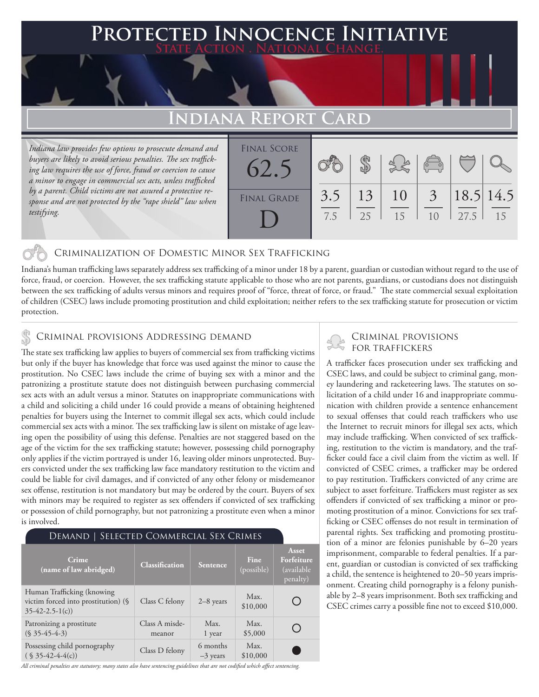## **PTED INNOCENCE INITIATIVE State Action . National Change.**

## **Indiana Report Card**

*Indiana law provides few options to prosecute demand and buyers are likely to avoid serious penalties. The sex trafficking law requires the use of force, fraud or coercion to cause a minor to engage in commercial sex acts, unless trafficked by a parent. Child victims are not assured a protective response and are not protected by the "rape shield" law when testifying.*

| <b>FINAL SCORE</b> |     |    |               |                |      |           |
|--------------------|-----|----|---------------|----------------|------|-----------|
| 62.5               |     |    |               | $\sqrt{2}$     |      |           |
| <b>FINAL GRADE</b> | 3.5 | 13 | <sup>10</sup> | $\overline{3}$ |      | 18.5 14.5 |
|                    | 7.5 | 25 | 15            | 1 <sub>0</sub> | 27.5 | 15        |
|                    |     |    |               |                |      |           |

### Criminalization of Domestic Minor Sex Trafficking

Indiana's human trafficking laws separately address sex trafficking of a minor under 18 by a parent, guardian or custodian without regard to the use of force, fraud, or coercion. However, the sex trafficking statute applicable to those who are not parents, guardians, or custodians does not distinguish between the sex trafficking of adults versus minors and requires proof of "force, threat of force, or fraud." The state commercial sexual exploitation of children (CSEC) laws include promoting prostitution and child exploitation; neither refers to the sex trafficking statute for prosecution or victim protection.

The state sex trafficking law applies to buyers of commercial sex from trafficking victims but only if the buyer has knowledge that force was used against the minor to cause the prostitution. No CSEC laws include the crime of buying sex with a minor and the patronizing a prostitute statute does not distinguish between purchasing commercial sex acts with an adult versus a minor. Statutes on inappropriate communications with a child and soliciting a child under 16 could provide a means of obtaining heightened penalties for buyers using the Internet to commit illegal sex acts, which could include commercial sex acts with a minor. The sex trafficking law is silent on mistake of age leaving open the possibility of using this defense. Penalties are not staggered based on the age of the victim for the sex trafficking statute; however, possessing child pornography only applies if the victim portrayed is under 16, leaving older minors unprotected. Buyers convicted under the sex trafficking law face mandatory restitution to the victim and could be liable for civil damages, and if convicted of any other felony or misdemeanor sex offense, restitution is not mandatory but may be ordered by the court. Buyers of sex with minors may be required to register as sex offenders if convicted of sex trafficking or possession of child pornography, but not patronizing a prostitute even when a minor is involved.

| DEMAND   SELECTED COMMERCIAL SEX CRIMES                                                |                          |                        |                    |                                                |  |  |  |
|----------------------------------------------------------------------------------------|--------------------------|------------------------|--------------------|------------------------------------------------|--|--|--|
| Crime<br>(name of law abridged)                                                        | <b>Classification</b>    | <b>Sentence</b>        | Fine<br>(possible) | Asset<br>Forfeiture<br>(available)<br>penalty) |  |  |  |
| Human Trafficking (knowing)<br>victim forced into prostitution) (§<br>$35-42-2.5-1(c)$ | Class C felony           | $2-8$ years            | Max.<br>\$10,000   |                                                |  |  |  |
| Patronizing a prostitute<br>$(S\,35-45-4-3)$                                           | Class A misde-<br>meanor | Max.<br>1 year         | Max.<br>\$5,000    |                                                |  |  |  |
| Possessing child pornography<br>$(S35-42-4-4(c))$                                      | Class D felony           | 6 months<br>$-3$ years | Max.<br>\$10,000   |                                                |  |  |  |

CRIMINAL PROVISIONS ADDRESSING DEMAND<br>The state on trafficking low anglies to hurge of commercial our from trafficking victime

A trafficker faces prosecution under sex trafficking and CSEC laws, and could be subject to criminal gang, money laundering and racketeering laws. The statutes on solicitation of a child under 16 and inappropriate communication with children provide a sentence enhancement to sexual offenses that could reach traffickers who use the Internet to recruit minors for illegal sex acts, which may include trafficking. When convicted of sex trafficking, restitution to the victim is mandatory, and the trafficker could face a civil claim from the victim as well. If convicted of CSEC crimes, a trafficker may be ordered to pay restitution. Traffickers convicted of any crime are subject to asset forfeiture. Traffickers must register as sex offenders if convicted of sex trafficking a minor or promoting prostitution of a minor. Convictions for sex trafficking or CSEC offenses do not result in termination of parental rights. Sex trafficking and promoting prostitution of a minor are felonies punishable by 6–20 years imprisonment, comparable to federal penalties. If a parent, guardian or custodian is convicted of sex trafficking a child, the sentence is heightened to 20–50 years imprisonment. Creating child pornography is a felony punishable by 2–8 years imprisonment. Both sex trafficking and CSEC crimes carry a possible fine not to exceed \$10,000.

*All criminal penalties are statutory; many states also have sentencing guidelines that are not codified which affect sentencing.*